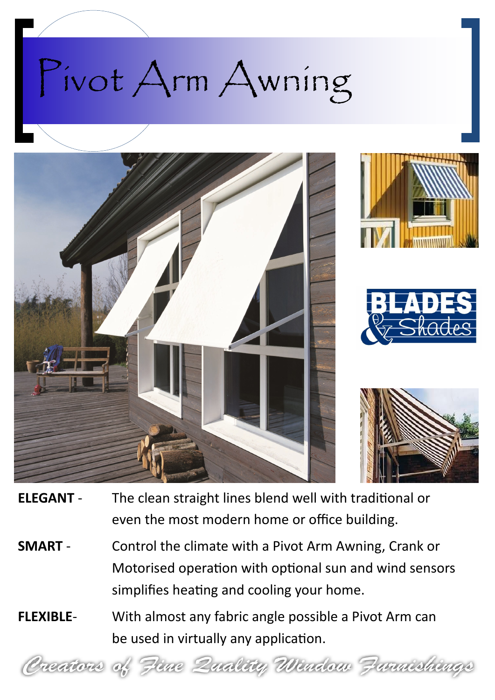



- **ELEGANT** The clean straight lines blend well with traditional or even the most modern home or office building.
- **SMART** Control the climate with a Pivot Arm Awning, Crank or Motorised operation with optional sun and wind sensors simplifies heating and cooling your home.
- **FLEXIBLE** With almost any fabric angle possible a Pivot Arm can be used in virtually any application.